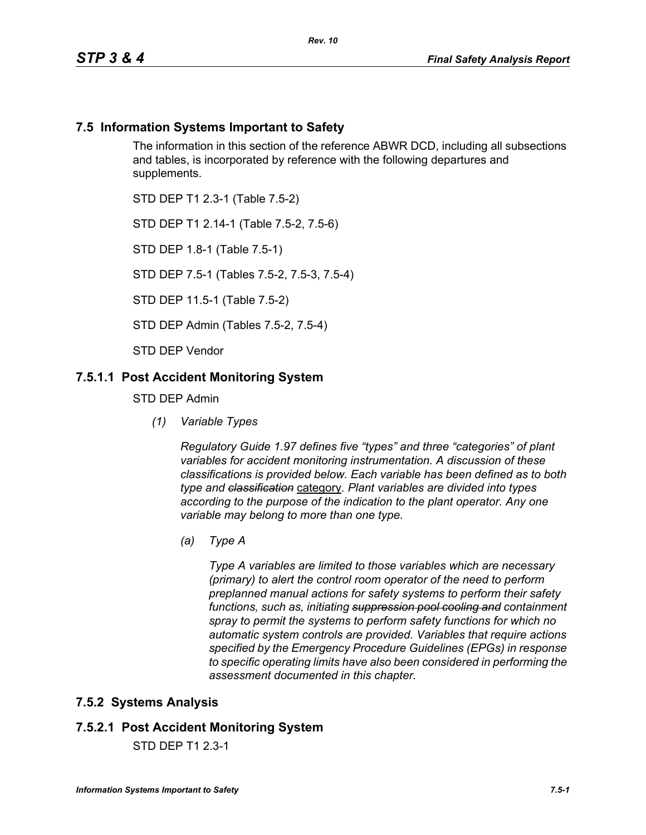### **7.5 Information Systems Important to Safety**

The information in this section of the reference ABWR DCD, including all subsections and tables, is incorporated by reference with the following departures and supplements.

STD DEP T1 2.3-1 (Table 7.5-2)

STD DEP T1 2.14-1 (Table 7.5-2, 7.5-6)

STD DEP 1.8-1 (Table 7.5-1)

STD DEP 7.5-1 (Tables 7.5-2, 7.5-3, 7.5-4)

STD DEP 11.5-1 (Table 7.5-2)

STD DEP Admin (Tables 7.5-2, 7.5-4)

STD DEP Vendor

### **7.5.1.1 Post Accident Monitoring System**

STD DEP Admin

*(1) Variable Types*

*Regulatory Guide 1.97 defines five "types" and three "categories" of plant variables for accident monitoring instrumentation. A discussion of these classifications is provided below. Each variable has been defined as to both type and classification* category*. Plant variables are divided into types according to the purpose of the indication to the plant operator. Any one variable may belong to more than one type.*

*(a) Type A*

*Type A variables are limited to those variables which are necessary (primary) to alert the control room operator of the need to perform preplanned manual actions for safety systems to perform their safety functions, such as, initiating suppression pool cooling and containment spray to permit the systems to perform safety functions for which no automatic system controls are provided. Variables that require actions specified by the Emergency Procedure Guidelines (EPGs) in response to specific operating limits have also been considered in performing the assessment documented in this chapter.*

#### **7.5.2 Systems Analysis**

#### **7.5.2.1 Post Accident Monitoring System**

STD DEP T1 2.3-1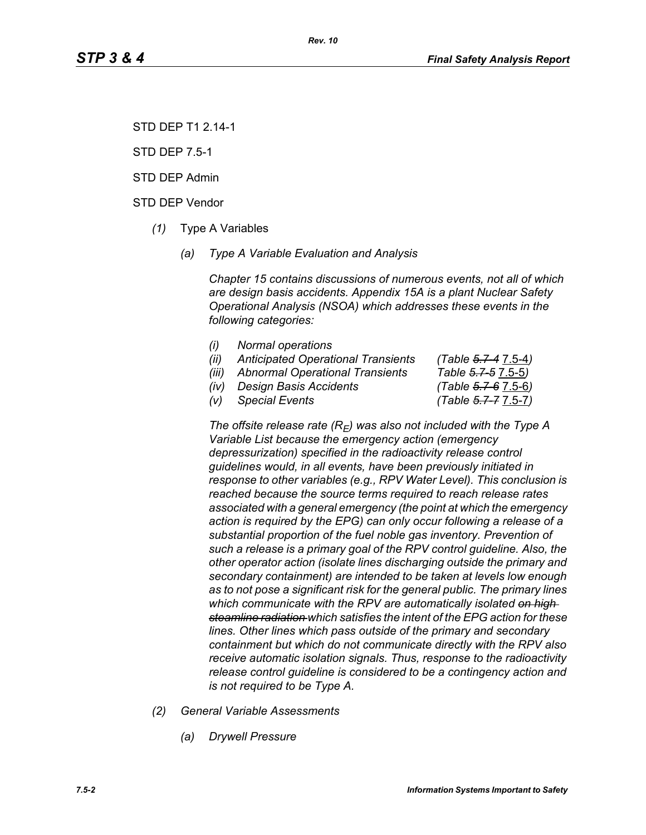STD DEP T1 2.14-1

STD DEP 7.5-1

STD DEP Admin

STD DEP Vendor

- *(1)* Type A Variables
	- *(a) Type A Variable Evaluation and Analysis*

*Chapter 15 contains discussions of numerous events, not all of which are design basis accidents. Appendix 15A is a plant Nuclear Safety Operational Analysis (NSOA) which addresses these events in the following categories:*

- *(i) Normal operations*
- *(ii) Anticipated Operational Transients (Table 5.7-4* 7.5-4*)*
- *(iii) Abnormal Operational Transients Table 5.7-5* 7.5-5*)*
- *(iv) Design Basis Accidents (Table 5.7-6* 7.5-6*)*

*(v) Special Events (Table 5.7-7* 7.5-7*)*

The offsite release rate  $(R_E)$  was also not included with the Type A *Variable List because the emergency action (emergency depressurization) specified in the radioactivity release control guidelines would, in all events, have been previously initiated in response to other variables (e.g., RPV Water Level). This conclusion is reached because the source terms required to reach release rates associated with a general emergency (the point at which the emergency action is required by the EPG) can only occur following a release of a substantial proportion of the fuel noble gas inventory. Prevention of such a release is a primary goal of the RPV control guideline. Also, the other operator action (isolate lines discharging outside the primary and secondary containment) are intended to be taken at levels low enough as to not pose a significant risk for the general public. The primary lines which communicate with the RPV are automatically isolated on high steamline radiation which satisfies the intent of the EPG action for these lines. Other lines which pass outside of the primary and secondary containment but which do not communicate directly with the RPV also receive automatic isolation signals. Thus, response to the radioactivity release control guideline is considered to be a contingency action and is not required to be Type A.*

- *(2) General Variable Assessments*
	- *(a) Drywell Pressure*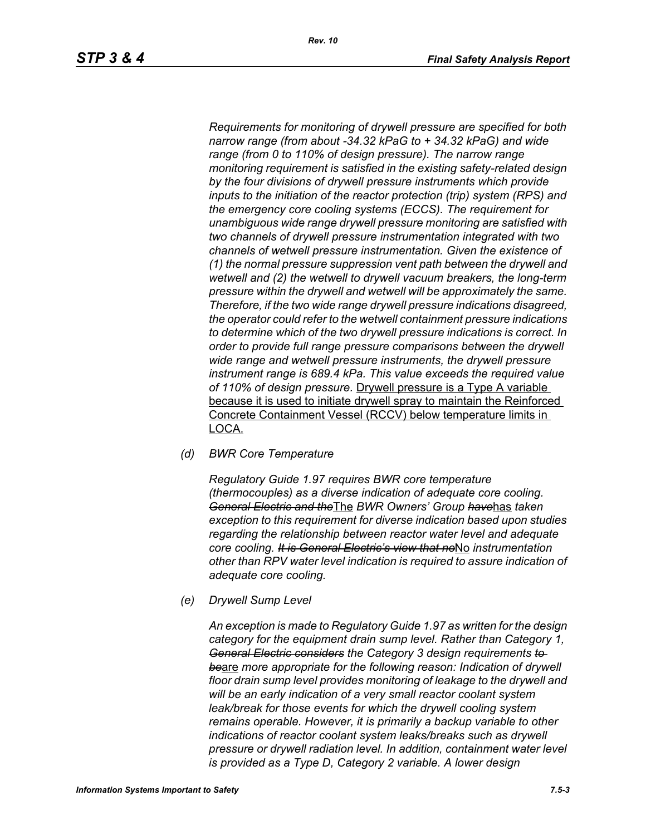*Requirements for monitoring of drywell pressure are specified for both narrow range (from about -34.32 kPaG to + 34.32 kPaG) and wide range (from 0 to 110% of design pressure). The narrow range monitoring requirement is satisfied in the existing safety-related design by the four divisions of drywell pressure instruments which provide inputs to the initiation of the reactor protection (trip) system (RPS) and the emergency core cooling systems (ECCS). The requirement for unambiguous wide range drywell pressure monitoring are satisfied with two channels of drywell pressure instrumentation integrated with two channels of wetwell pressure instrumentation. Given the existence of (1) the normal pressure suppression vent path between the drywell and wetwell and (2) the wetwell to drywell vacuum breakers, the long-term pressure within the drywell and wetwell will be approximately the same. Therefore, if the two wide range drywell pressure indications disagreed, the operator could refer to the wetwell containment pressure indications to determine which of the two drywell pressure indications is correct. In order to provide full range pressure comparisons between the drywell wide range and wetwell pressure instruments, the drywell pressure instrument range is 689.4 kPa. This value exceeds the required value of 110% of design pressure.* Drywell pressure is a Type A variable because it is used to initiate drywell spray to maintain the Reinforced Concrete Containment Vessel (RCCV) below temperature limits in LOCA.

*(d) BWR Core Temperature*

*Regulatory Guide 1.97 requires BWR core temperature (thermocouples) as a diverse indication of adequate core cooling. General Electric and the*The *BWR Owners' Group have*has *taken exception to this requirement for diverse indication based upon studies regarding the relationship between reactor water level and adequate core cooling. It is General Electric's view that no*No *instrumentation other than RPV water level indication is required to assure indication of adequate core cooling.*

*(e) Drywell Sump Level*

*An exception is made to Regulatory Guide 1.97 as written for the design category for the equipment drain sump level. Rather than Category 1, General Electric considers the Category 3 design requirements to be*are *more appropriate for the following reason: Indication of drywell floor drain sump level provides monitoring of leakage to the drywell and will be an early indication of a very small reactor coolant system leak/break for those events for which the drywell cooling system remains operable. However, it is primarily a backup variable to other indications of reactor coolant system leaks/breaks such as drywell pressure or drywell radiation level. In addition, containment water level is provided as a Type D, Category 2 variable. A lower design*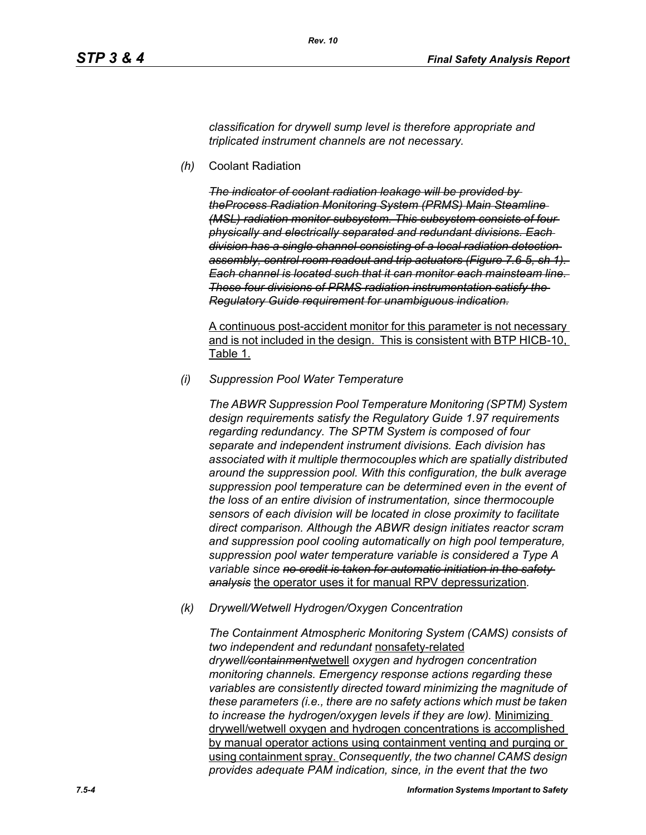*classification for drywell sump level is therefore appropriate and triplicated instrument channels are not necessary.*

*(h)* Coolant Radiation

*The indicator of coolant radiation leakage will be provided by theProcess Radiation Monitoring System (PRMS) Main Steamline (MSL) radiation monitor subsystem. This subsystem consists of four physically and electrically separated and redundant divisions. Each division has a single channel consisting of a local radiation detection assembly, control room readout and trip actuators (Figure 7.6-5, sh 1). Each channel is located such that it can monitor each mainsteam line. These four divisions of PRMS radiation instrumentation satisfy the Regulatory Guide requirement for unambiguous indication.*

A continuous post-accident monitor for this parameter is not necessary and is not included in the design. This is consistent with BTP HICB-10, Table 1.

*(i) Suppression Pool Water Temperature*

*The ABWR Suppression Pool Temperature Monitoring (SPTM) System design requirements satisfy the Regulatory Guide 1.97 requirements regarding redundancy. The SPTM System is composed of four separate and independent instrument divisions. Each division has associated with it multiple thermocouples which are spatially distributed around the suppression pool. With this configuration, the bulk average suppression pool temperature can be determined even in the event of the loss of an entire division of instrumentation, since thermocouple sensors of each division will be located in close proximity to facilitate direct comparison. Although the ABWR design initiates reactor scram and suppression pool cooling automatically on high pool temperature, suppression pool water temperature variable is considered a Type A variable since no credit is taken for automatic initiation in the safety analysis* the operator uses it for manual RPV depressurization*.*

*(k) Drywell/Wetwell Hydrogen/Oxygen Concentration*

*The Containment Atmospheric Monitoring System (CAMS) consists of two independent and redundant* nonsafety-related *drywell/containment*wetwell *oxygen and hydrogen concentration monitoring channels. Emergency response actions regarding these variables are consistently directed toward minimizing the magnitude of these parameters (i.e., there are no safety actions which must be taken to increase the hydrogen/oxygen levels if they are low).* Minimizing drywell/wetwell oxygen and hydrogen concentrations is accomplished by manual operator actions using containment venting and purging or using containment spray. *Consequently, the two channel CAMS design provides adequate PAM indication, since, in the event that the two*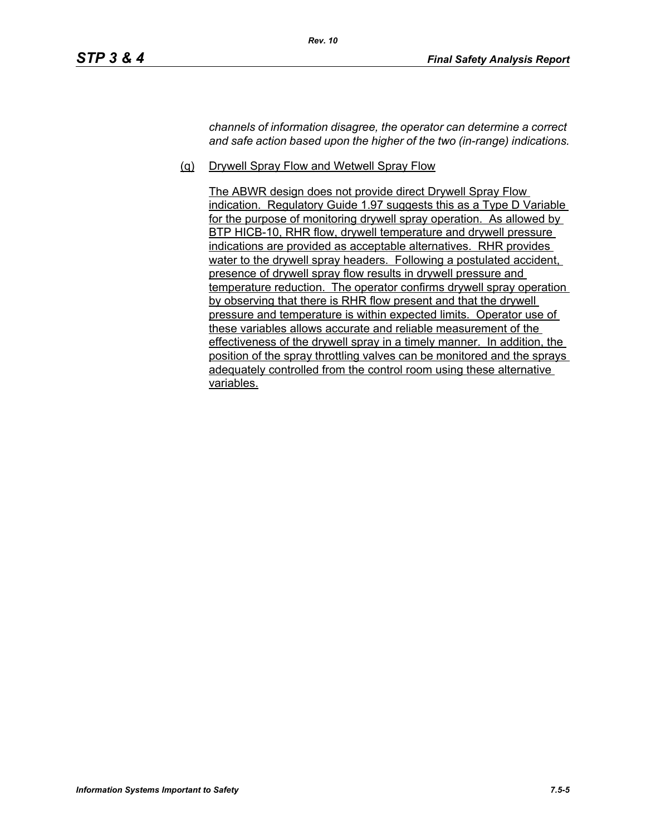*channels of information disagree, the operator can determine a correct and safe action based upon the higher of the two (in-range) indications.*

(q) Drywell Spray Flow and Wetwell Spray Flow

The ABWR design does not provide direct Drywell Spray Flow indication. Regulatory Guide 1.97 suggests this as a Type D Variable for the purpose of monitoring drywell spray operation. As allowed by BTP HICB-10, RHR flow, drywell temperature and drywell pressure indications are provided as acceptable alternatives. RHR provides water to the drywell spray headers. Following a postulated accident, presence of drywell spray flow results in drywell pressure and temperature reduction. The operator confirms drywell spray operation by observing that there is RHR flow present and that the drywell pressure and temperature is within expected limits. Operator use of these variables allows accurate and reliable measurement of the effectiveness of the drywell spray in a timely manner. In addition, the position of the spray throttling valves can be monitored and the sprays adequately controlled from the control room using these alternative variables.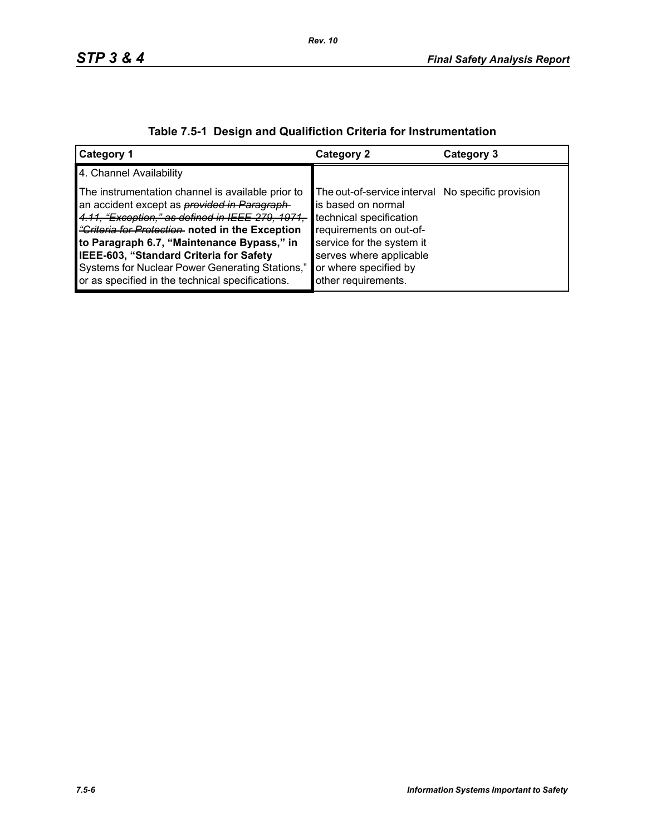| Category 1                                                                                                                                                                                                                                                                                                                                                                                                     | <b>Category 2</b>                                                                                                                                                                                                                     | Category 3 |
|----------------------------------------------------------------------------------------------------------------------------------------------------------------------------------------------------------------------------------------------------------------------------------------------------------------------------------------------------------------------------------------------------------------|---------------------------------------------------------------------------------------------------------------------------------------------------------------------------------------------------------------------------------------|------------|
| 4. Channel Availability                                                                                                                                                                                                                                                                                                                                                                                        |                                                                                                                                                                                                                                       |            |
| The instrumentation channel is available prior to<br>an accident except as <i>provided in Paragraph</i><br>4.11, "Exception," as defined in IEEE-279, 1971,<br>"Criteria for Protection noted in the Exception<br>to Paragraph 6.7, "Maintenance Bypass," in<br>IEEE-603, "Standard Criteria for Safety<br>Systems for Nuclear Power Generating Stations,"<br>or as specified in the technical specifications. | The out-of-service interval No specific provision<br>is based on normal<br>technical specification<br>requirements on out-of-<br>service for the system it<br>serves where applicable<br>or where specified by<br>other requirements. |            |

# **Table 7.5-1 Design and Qualifiction Criteria for Instrumentation**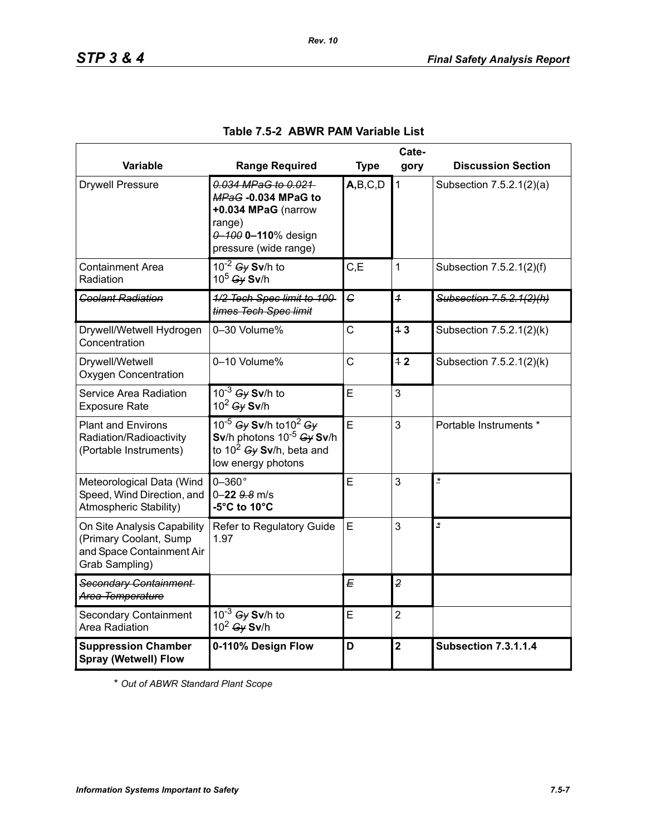|                                                                                                      | Cate-                                                                                                                      |                |                |                             |
|------------------------------------------------------------------------------------------------------|----------------------------------------------------------------------------------------------------------------------------|----------------|----------------|-----------------------------|
| Variable                                                                                             | <b>Range Required</b>                                                                                                      | <b>Type</b>    | gory           | <b>Discussion Section</b>   |
| <b>Drywell Pressure</b>                                                                              | 0.034 MPaG to 0.021<br>MPaG-0.034 MPaG to<br>+0.034 MPaG (narrow<br>range)<br>0-100 0-110% design<br>pressure (wide range) | A,B,C,D        | $\mathbf 1$    | Subsection 7.5.2.1(2)(a)    |
| <b>Containment Area</b><br>Radiation                                                                 | $10^{-2}$ Gy Sv/h to<br>$10^5$ Gy Sv/h                                                                                     | C, E           | 1              | Subsection 7.5.2.1(2)(f)    |
| <b>Coolant Radiation</b>                                                                             | 1/2 Tech Spec limit to 100<br>times Tech Spec limit                                                                        | $\epsilon$     | $\overline{1}$ | Subsection 7.5.2.1(2)(h)    |
| Drywell/Wetwell Hydrogen<br>Concentration                                                            | 0-30 Volume%                                                                                                               | $\overline{C}$ | 13             | Subsection 7.5.2.1(2)(k)    |
| Drywell/Wetwell<br><b>Oxygen Concentration</b>                                                       | 0-10 Volume%                                                                                                               | $\overline{C}$ | 12             | Subsection 7.5.2.1(2)(k)    |
| Service Area Radiation<br><b>Exposure Rate</b>                                                       | $10^{-3}$ Gy Sv/h to<br>$10^2$ Gy Sv/h                                                                                     | Ē              | 3              |                             |
| <b>Plant and Environs</b><br>Radiation/Radioactivity<br>(Portable Instruments)                       | 10-5 Gy Sv/h to 10 <sup>2</sup> Gy<br>Sv/h photons $10^{-5}$ Gy Sv/h<br>to $10^2$ Gy Sv/h, beta and<br>low energy photons  | Ē              | 3              | Portable Instruments *      |
| Meteorological Data (Wind<br>Speed, Wind Direction, and<br>Atmospheric Stability)                    | $0-360^\circ$<br>$0 - 22$ $9.8$ m/s<br>-5°C to 10°C                                                                        | E              | 3              | $\overline{\phantom{a}}$    |
| On Site Analysis Capability<br>(Primary Coolant, Sump<br>and Space Containment Air<br>Grab Sampling) | Refer to Regulatory Guide<br>1.97                                                                                          | E              | 3              | $\overline{\mathbf{r}}$     |
| Secondary Containment<br>Area Temperature                                                            |                                                                                                                            | E              | $\overline{2}$ |                             |
| <b>Secondary Containment</b><br>Area Radiation                                                       | $10^{-3}$ Gy Sv/h to<br>$10^2$ Gy Sv/h                                                                                     | E              | $\overline{2}$ |                             |
| <b>Suppression Chamber</b><br><b>Spray (Wetwell) Flow</b>                                            | 0-110% Design Flow                                                                                                         | D              | $\overline{2}$ | <b>Subsection 7.3.1.1.4</b> |

## **Table 7.5-2 ABWR PAM Variable List**

*Rev. 10*

\* *Out of ABWR Standard Plant Scope*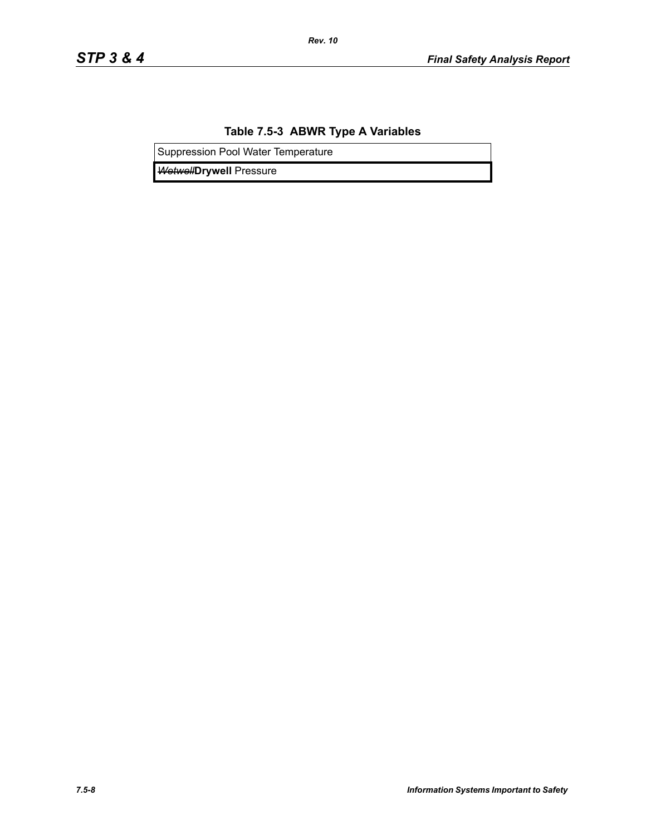### **Table 7.5-3 ABWR Type A Variables**

*Rev. 10*

Suppression Pool Water Temperature

*Wetwell***Drywell** Pressure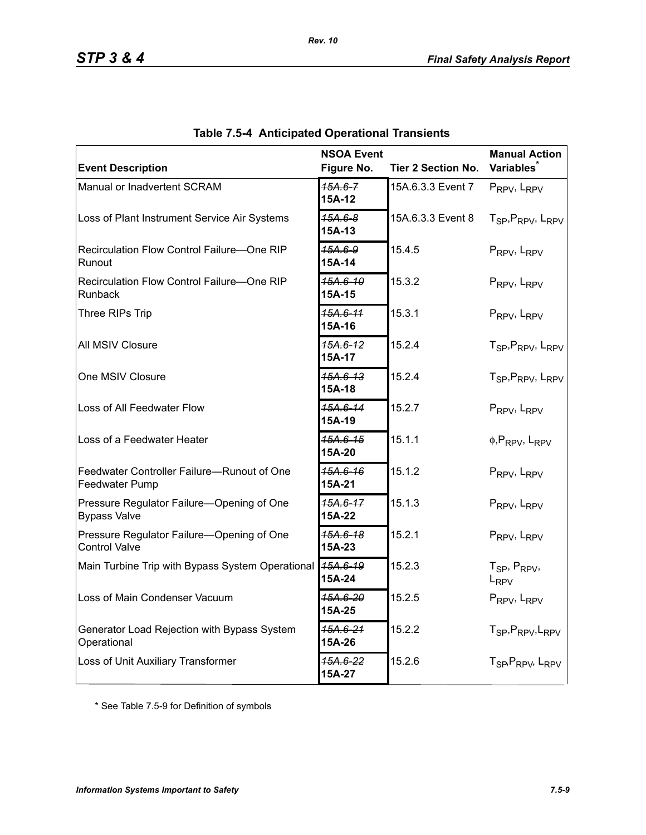| <b>Event Description</b>                                          | <b>NSOA Event</b><br>Figure No. | <b>Tier 2 Section No.</b> | <b>Manual Action</b><br><b>Variables</b>              |
|-------------------------------------------------------------------|---------------------------------|---------------------------|-------------------------------------------------------|
| Manual or Inadvertent SCRAM                                       | $15A.6 - 7$<br>15A-12           | 15A.6.3.3 Event 7         | PRPV, LRPV                                            |
| Loss of Plant Instrument Service Air Systems                      | 15A.6-8<br>15A-13               | 15A.6.3.3 Event 8         | T <sub>SP</sub> , P <sub>RPV</sub> , L <sub>RPV</sub> |
| Recirculation Flow Control Failure-One RIP<br>Runout              | 15A.6-9<br>15A-14               | 15.4.5                    | PRPV, LRPV                                            |
| Recirculation Flow Control Failure-One RIP<br>Runback             | 15A.6-10<br>15A-15              | 15.3.2                    | PRPV, LRPV                                            |
| Three RIPs Trip                                                   | 15A.6-11<br>15A-16              | 15.3.1                    | PRPV, LRPV                                            |
| All MSIV Closure                                                  | $15A.6 - 12$<br>15A-17          | 15.2.4                    | T <sub>SP</sub> , P <sub>RPV</sub> , L <sub>RPV</sub> |
| One MSIV Closure                                                  | 15A.6-13<br>15A-18              | 15.2.4                    | T <sub>SP</sub> , P <sub>RPV</sub> , L <sub>RPV</sub> |
| Loss of All Feedwater Flow                                        | 15A.6-14<br>15A-19              | 15.2.7                    | PRPV, LRPV                                            |
| Loss of a Feedwater Heater                                        | 15A.6-15<br>15A-20              | 15.1.1                    | $\phi$ , PRPV, LRPV                                   |
| Feedwater Controller Failure-Runout of One<br>Feedwater Pump      | 45A.6-16<br>15A-21              | 15.1.2                    | PRPV, LRPV                                            |
| Pressure Regulator Failure-Opening of One<br><b>Bypass Valve</b>  | 15A.6-17<br>15A-22              | 15.1.3                    | PRPV, LRPV                                            |
| Pressure Regulator Failure-Opening of One<br><b>Control Valve</b> | 15A.6-18<br>15A-23              | 15.2.1                    | PRPV, LRPV                                            |
| Main Turbine Trip with Bypass System Operational                  | 15A.6-19<br>15A-24              | 15.2.3                    | $T_{SP}$ , $P_{RPV}$ ,<br>$L_{RPV}$                   |
| Loss of Main Condenser Vacuum                                     | <del>15А.6-20</del><br>15A-25   | 15.2.5                    | PRPV, LRPV                                            |
| Generator Load Rejection with Bypass System<br>Operational        | 15A.6-21<br>15A-26              | 15.2.2                    | T <sub>SP</sub> , P <sub>RPV</sub> , L <sub>RPV</sub> |
| Loss of Unit Auxiliary Transformer                                | 15A.6-22<br>15A-27              | 15.2.6                    | T <sub>SP</sub> , P <sub>RPV</sub> , L <sub>RPV</sub> |

|  | <b>Table 7.5-4 Anticipated Operational Transients</b> |  |  |
|--|-------------------------------------------------------|--|--|
|--|-------------------------------------------------------|--|--|

*Rev. 10*

\* See Table 7.5-9 for Definition of symbols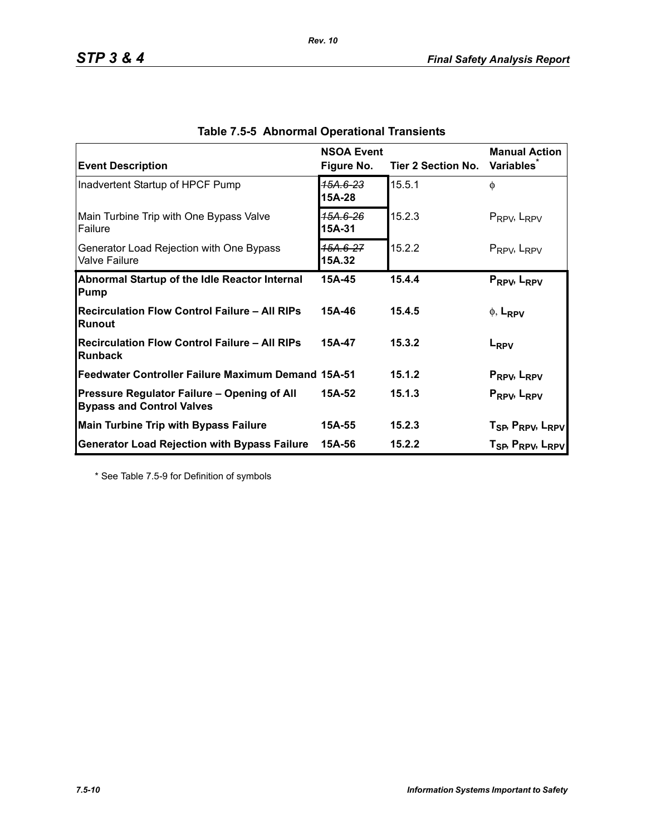| <b>Event Description</b>                                                        | <b>NSOA Event</b><br>Figure No. | Tier 2 Section No. | <b>Manual Action</b><br><b>Variables</b>                                                                       |
|---------------------------------------------------------------------------------|---------------------------------|--------------------|----------------------------------------------------------------------------------------------------------------|
| Inadvertent Startup of HPCF Pump                                                | 15A.6-23<br>15A-28              | 15.5.1             | $\phi$                                                                                                         |
| Main Turbine Trip with One Bypass Valve<br><b>Failure</b>                       | 15А.6-26<br>15A-31              | 15.2.3             | $P_{RPV}$ , $L_{RPV}$                                                                                          |
| Generator Load Rejection with One Bypass<br><b>Valve Failure</b>                | 15A.6-27<br>15A.32              | 15.2.2             | $P_{RPV}$ , $L_{RPV}$                                                                                          |
| Abnormal Startup of the Idle Reactor Internal<br>Pump                           | 15A-45                          | 15.4.4             | PRPV, LRPV                                                                                                     |
| <b>Recirculation Flow Control Failure - All RIPs</b><br>Runout                  | 15A-46                          | 15.4.5             | $\phi$ , L <sub>RPV</sub>                                                                                      |
| <b>Recirculation Flow Control Failure - All RIPs</b><br>Runback                 | 15A-47                          | 15.3.2             | L <sub>RPV</sub>                                                                                               |
| Feedwater Controller Failure Maximum Demand 15A-51                              |                                 | 15.1.2             | P <sub>RPV</sub> , L <sub>RPV</sub>                                                                            |
| Pressure Regulator Failure - Opening of All<br><b>Bypass and Control Valves</b> | 15A-52                          | 15.1.3             | PRPV <sub>b</sub> L <sub>RPV</sub>                                                                             |
| <b>Main Turbine Trip with Bypass Failure</b>                                    | 15A-55                          | 15.2.3             |                                                                                                                |
| <b>Generator Load Rejection with Bypass Failure</b>                             | 15A-56                          | 15.2.2             | T <sub>SP</sub> , P <sub>RPV</sub> , L <sub>RPV</sub><br>T <sub>SP</sub> , P <sub>RPV</sub> , L <sub>RPV</sub> |

*Rev. 10*

\* See Table 7.5-9 for Definition of symbols